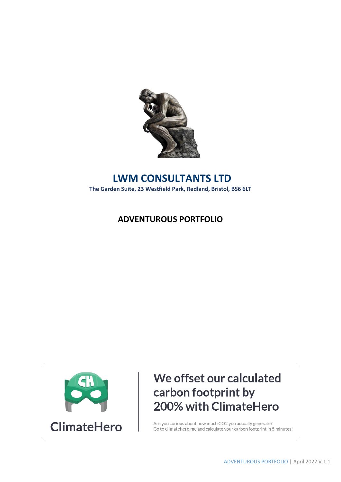

## **LWM CONSULTANTS LTD The Garden Suite, 23 Westfield Park, Redland, Bristol, BS6 6LT**

## **ADVENTUROUS PORTFOLIO**



# We offset our calculated carbon footprint by 200% with ClimateHero

Are you curious about how much CO2 you actually generate? Go to climatehero.me and calculate your carbon footprint in 5 minutes!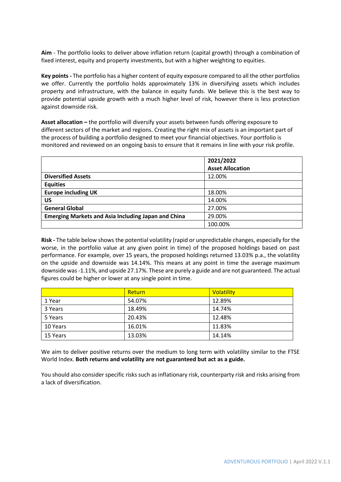**Aim** - The portfolio looks to deliver above inflation return (capital growth) through a combination of fixed interest, equity and property investments, but with a higher weighting to equities.

**Key points -** The portfolio has a higher content of equity exposure compared to all the other portfolios we offer. Currently the portfolio holds approximately 13% in diversifying assets which includes property and infrastructure, with the balance in equity funds. We believe this is the best way to provide potential upside growth with a much higher level of risk, however there is less protection against downside risk.

**Asset allocation –** the portfolio will diversify your assets between funds offering exposure to different sectors of the market and regions. Creating the right mix of assets is an important part of the process of building a portfolio designed to meet your financial objectives. Your portfolio is monitored and reviewed on an ongoing basis to ensure that it remains in line with your risk profile.

|                                                            | 2021/2022               |
|------------------------------------------------------------|-------------------------|
|                                                            | <b>Asset Allocation</b> |
| <b>Diversified Assets</b>                                  | 12.00%                  |
| <b>Equities</b>                                            |                         |
| <b>Europe including UK</b>                                 | 18.00%                  |
| US                                                         | 14.00%                  |
| <b>General Global</b>                                      | 27.00%                  |
| <b>Emerging Markets and Asia Including Japan and China</b> | 29.00%                  |
|                                                            | 100.00%                 |

**Risk -** The table below shows the potential volatility (rapid or unpredictable changes, especially for the worse, in the portfolio value at any given point in time) of the proposed holdings based on past performance. For example, over 15 years, the proposed holdings returned 13.03% p.a., the volatility on the upside and downside was 14.14%. This means at any point in time the average maximum downside was -1.11%, and upside 27.17%. These are purely a guide and are not guaranteed. The actual figures could be higher or lower at any single point in time.

|          | Return | Volatility |
|----------|--------|------------|
| 1 Year   | 54.07% | 12.89%     |
| 3 Years  | 18.49% | 14.74%     |
| 5 Years  | 20.43% | 12.48%     |
| 10 Years | 16.01% | 11.83%     |
| 15 Years | 13.03% | 14.14%     |

We aim to deliver positive returns over the medium to long term with volatility similar to the FTSE World Index. **Both returns and volatility are not guaranteed but act as a guide.** 

You should also consider specific risks such as inflationary risk, counterparty risk and risks arising from a lack of diversification.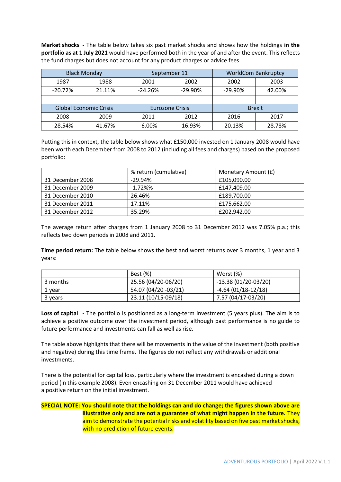**Market shocks -** The table below takes six past market shocks and shows how the holdings **in the portfolio as at 1 July 2021** would have performed both in the year of and after the event. This reflects the fund charges but does not account for any product charges or advice fees.

|           | <b>Black Monday</b>                                     | September 11 |                        |               | <b>WorldCom Bankruptcy</b> |
|-----------|---------------------------------------------------------|--------------|------------------------|---------------|----------------------------|
| 1987      | 1988                                                    | 2001<br>2002 |                        | 2002          | 2003                       |
| $-20.72%$ | 21.11%                                                  | $-24.26%$    | $-29.90%$<br>$-29.90%$ |               | 42.00%                     |
|           |                                                         |              |                        |               |                            |
|           | <b>Global Economic Crisis</b><br><b>Eurozone Crisis</b> |              |                        | <b>Brexit</b> |                            |
| 2008      | 2009                                                    | 2011         | 2012                   | 2016          | 2017                       |
| $-28.54%$ | 41.67%                                                  | $-6.00\%$    | 16.93%                 | 20.13%        | 28.78%                     |

Putting this in context, the table below shows what £150,000 invested on 1 January 2008 would have been worth each December from 2008 to 2012 (including all fees and charges) based on the proposed portfolio:

|                  | % return (cumulative)<br>Monetary Amount (£) |             |  |
|------------------|----------------------------------------------|-------------|--|
| 31 December 2008 | $-29.94%$                                    | £105,090.00 |  |
| 31 December 2009 | $-1.72\%$ %                                  | £147,409.00 |  |
| 31 December 2010 | 26.46%                                       | £189,700.00 |  |
| 31 December 2011 | 17.11%                                       | £175,662.00 |  |
| 31 December 2012 | 35.29%                                       | £202,942.00 |  |

The average return after charges from 1 January 2008 to 31 December 2012 was 7.05% p.a.; this reflects two down periods in 2008 and 2011.

**Time period return:** The table below shows the best and worst returns over 3 months, 1 year and 3 years:

|          | Best (%)             | Worst (%)             |
|----------|----------------------|-----------------------|
| 3 months | 25.56 (04/20-06/20)  | $-13.38(01/20-03/20)$ |
| 1 year   | 54.07 (04/20 -03/21) | $-4.64(01/18-12/18)$  |
| 3 years  | 23.11 (10/15-09/18)  | 7.57 (04/17-03/20)    |

**Loss of capital -** The portfolio is positioned as a long-term investment (5 years plus). The aim is to achieve a positive outcome over the investment period, although past performance is no guide to future performance and investments can fall as well as rise.

The table above highlights that there will be movements in the value of the investment (both positive and negative) during this time frame. The figures do not reflect any withdrawals or additional investments.

There is the potential for capital loss, particularly where the investment is encashed during a down period (in this example 2008). Even encashing on 31 December 2011 would have achieved a positive return on the initial investment.

### **SPECIAL NOTE: You should note that the holdings can and do change; the figures shown above are illustrative only and are not a guarantee of what might happen in the future.** They aim to demonstrate the potential risks and volatility based on five past market shocks, with no prediction of future events.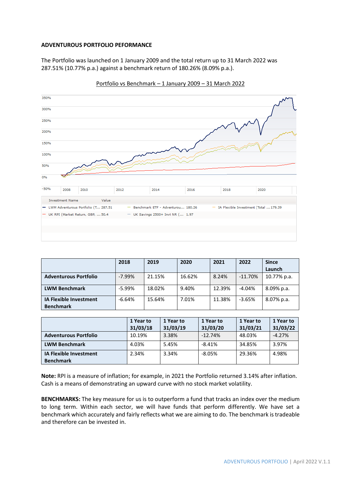#### **ADVENTUROUS PORTFOLIO PEFORMANCE**

The Portfolio was launched on 1 January 2009 and the total return up to 31 March 2022 was 287.51% (10.77% p.a.) against a benchmark return of 180.26% (8.09% p.a.).



Portfolio vs Benchmark – 1 January 2009 – 31 March 2022

|                                                   | 2018      | 2019   | 2020   | 2021   | 2022      | <b>Since</b> |
|---------------------------------------------------|-----------|--------|--------|--------|-----------|--------------|
|                                                   |           |        |        |        |           | Launch       |
| <b>Adventurous Portfolio</b>                      | $-7.99\%$ | 21.15% | 16.62% | 8.24%  | $-11.70%$ | 10.77% p.a.  |
| <b>LWM Benchmark</b>                              | $-5.99%$  | 18.02% | 9.40%  | 12.39% | $-4.04%$  | 8.09% p.a.   |
| <b>IA Flexible Investment</b><br><b>Benchmark</b> | $-6.64%$  | 15.64% | 7.01%  | 11.38% | $-3.65%$  | 8.07% p.a.   |

|                               | 1 Year to | 1 Year to | 1 Year to | 1 Year to | 1 Year to |
|-------------------------------|-----------|-----------|-----------|-----------|-----------|
|                               | 31/03/18  | 31/03/19  | 31/03/20  | 31/03/21  | 31/03/22  |
| <b>Adventurous Portfolio</b>  | 10.19%    | 3.38%     | $-12.74%$ | 48.03%    | $-4.27%$  |
| <b>LWM Benchmark</b>          | 4.03%     | 5.45%     | $-8.41%$  | 34.85%    | 3.97%     |
| <b>IA Flexible Investment</b> | 2.34%     | 3.34%     | $-8.05%$  | 29.36%    | 4.98%     |
| <b>Benchmark</b>              |           |           |           |           |           |

**Note:** RPI is a measure of inflation; for example, in 2021 the Portfolio returned 3.14% after inflation. Cash is a means of demonstrating an upward curve with no stock market volatility.

**BENCHMARKS:** The key measure for us is to outperform a fund that tracks an index over the medium to long term. Within each sector, we will have funds that perform differently. We have set a benchmark which accurately and fairly reflects what we are aiming to do. The benchmark is tradeable and therefore can be invested in.